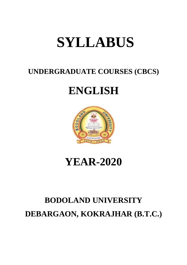# **SYLLABUS**

### **UNDERGRADUATE COURSES (CBCS)**

## **ENGLISH**



### **YEAR-2020**

### **BODOLAND UNIVERSITY DEBARGAON, KOKRAJHAR (B.T.C.)**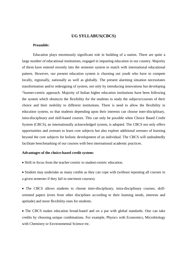#### **UG SYLLABUS(CBCS)**

#### **Preamble:**

Education plays enormously significant role in building of a nation. There are quite a large number of educational institutions, engaged in imparting education in our country. Majority of them have entered recently into the semester system to match with international educational pattern. However, our present education system is churning out youth who have to compete locally, regionally, nationally as well as globally. The present alarming situation necessitates transformation and/or redesigning of system, not only by introducing innovations but developing "learner-centric approach. Majority of Indian higher education institutions have been following the system which obstructs the flexibility for the students to study the subjects/courses of their choice and their mobility to different institutions. There is need to allow the flexibility in education system, so that students depending upon their interests can choose inter-disciplinary, intra-disciplinary and skill-based courses. This can only be possible when Choice Based Credit System (CBCS), an internationally acknowledged system, is adopted. The CBCS not only offers opportunities and avenues to learn core subjects but also explore additional avenues of learning beyond the core subjects for holistic development of an individual. The CBCS will undoubtedly facilitate benchmarking of our courses with best international academic practices.

#### **Advantages of the choice-based credit system:**

- Shift in focus from the teacher-centric to student-centric education.
- Student may undertake as many credits as they can cope with (without repeating all courses in a given semester if they fail in one/more courses).

 The CBCS allows students to choose inter-disciplinary, intra-disciplinary courses, skilloriented papers (even from other disciplines according to their learning needs, interests and aptitude) and more flexibility ones for students.

 The CBCS makes education broad-based and on a par with global standards. One can take credits by choosing unique combinations. For example, Physics with Economics, Microbiology with Chemistry or Environmental Science etc.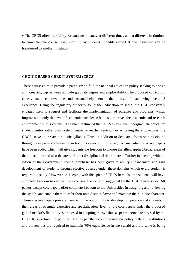The CBCS offers flexibility for students to study at different times and at different institutions to complete one course (easy mobility by students). Credits earned at one institution can be transferred to another institution.

#### **CHOICE BASED CREDIT SYSTEM (CBCS):**

These courses aim to provide a paradigm shift in the national education policy seeking to bridge an increasing gap between an undergraduate degree and employability. The proposed curriculum endeavours to empower the students and help them in their pursuit for achieving overall 3 excellence. Being the regulatory authority for higher education in India, the UGC constantly engages itself to suggest and facilitate the implementation of schemes and programs, which improves not only the level of academic excellence but also improves the academic and research environment in this country. The main feature of the CBCS is to make undergraduate education student centric rather than system centric or teacher centric. For achieving these objectives, the CBCS strives to create a holistic syllabus. Thus, in addition to dedicated focus on a discipline through core papers whether in an honours curriculum or a regular curriculum, elective papers have been added which will give students the freedom to choose the allied/applied/broad areas of their discipline and also the areas of other disciplines of their interest. Further in keeping with the vision of the Government, special emphasis has been given to ability enhancement and skill development of students through elective courses under these domains which every student is required to study. However, in keeping with the spirit of CBCS here also the students will have complete freedom to choose these courses from a pool suggested by the UGC/Universities. All papers except core papers offer complete freedom to the Universities in designing and reviewing the syllabi and enable them to offer their own distinct flavor and maintain their unique character. These elective papers provide them with the opportunity to develop competencies of students in their areas of strength, expertise and specialization. Even in the core papers under the proposed guidelines 30% flexibility is proposed in adopting the syllabus as per the template advised by the UGC. It is pertinent to point out that as per the existing education policy different institutions and universities are required to maintain 70% equivalence in the syllabi and the same is being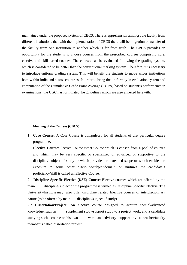maintained under the proposed system of CBCS. There is apprehension amongst the faculty from different institutions that with the implementation of CBCS there will be migration or transfer of the faculty from one institution to another which is far from truth. The CBCS provides an opportunity for the students to choose courses from the prescribed courses comprising core, elective and skill based courses. The courses can be evaluated following the grading system, which is considered to be better than the conventional marking system. Therefore, it is necessary to introduce uniform grading system. This will benefit the students to move across institutions both within India and across countries. In order to bring the uniformity in evaluation system and computation of the Cumulative Grade Point Average (CGPA) based on student's performance in examinations, the UGC has formulated the guidelines which are also annexed herewith.

#### **Meaning of the Courses (CBCS):**

- 1. **Core Course:** A Core Course is compulsory for all students of that particular degree programme.
- 2. **Elective Course:**Elective Course isthat Course which is chosen from a pool of courses and which may be very specific or specialized or advanced or supportive to the discipline/ subject of study or which provides an extended scope or which enables an exposure to some other discipline/subject/domain or nurtures the candidate's proficiency/skill is called an Elective Course.

2.1 **Discipline Specific Elective (DSE) Course**: Elective courses which are offered by the main discipline/subject of the programme is termed as Discipline Specific Elective. The University/Institute may also offer discipline related Elective courses of interdisciplinary nature (to be offered by main discipline/subject of study).

2.2 **Dissertation/Project:** An elective course designed to acquire special/advanced knowledge, such as supplement study/support study to a project work, and a candidate studying such a course on his own with an advisory support by a teacher/faculty member is called dissertation/project.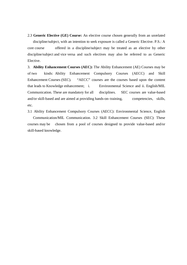2.3 **Generic Elective (GE) Course:** An elective course chosen generally from an unrelated discipline/subject, with an intention to seek exposure is called a Generic Elective. P.S.: A core course offered in a discipline/subject may be treated as an elective by other discipline/subject and vice versa and such electives may also be referred to as Generic Elective.

3. **Ability Enhancement Courses (AEC):** The Ability Enhancement (AE) Courses may be of two kinds: Ability Enhancement Compulsory Courses (AECC) and Skill Enhancement Courses (SEC). "AECC" courses are the courses based upon the content that leads to Knowledge enhancement; i. Environmental Science and ii. English/MIL Communication. These are mandatory for all disciplines. SEC courses are value-based and/or skill-based and are aimed at providing hands-on-training, competencies, skills, etc.

3.1 Ability Enhancement Compulsory Courses (AECC): Environmental Science, English Communication/MIL Communication. 3.2 Skill Enhancement Courses (SEC): These courses may be chosen from a pool of courses designed to provide value-based and/or skill-based knowledge.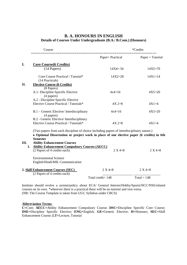#### **B. A. HONOURS IN ENGLISH Details of Courses Under Undergraduate (B.A./ B.Com.) (Honours)**

|            | Course                                                                                                                                                                                                                                                                                                                                                                |                     | *Credits         |  |  |
|------------|-----------------------------------------------------------------------------------------------------------------------------------------------------------------------------------------------------------------------------------------------------------------------------------------------------------------------------------------------------------------------|---------------------|------------------|--|--|
|            |                                                                                                                                                                                                                                                                                                                                                                       | Paper+ Practical    | Paper + Tutorial |  |  |
| I.         | <b>Core Course (6 Credits)</b>                                                                                                                                                                                                                                                                                                                                        |                     |                  |  |  |
|            | $(14$ Papers)                                                                                                                                                                                                                                                                                                                                                         | $14X4 = 56$         | $14X5 = 70$      |  |  |
|            | Core Course Practical / Tutorial*                                                                                                                                                                                                                                                                                                                                     | $14X2=28$           | $14X1 = 14$      |  |  |
|            | (14 Practicals)                                                                                                                                                                                                                                                                                                                                                       |                     |                  |  |  |
| II.        | <b>Elective Course (6 Credits)</b>                                                                                                                                                                                                                                                                                                                                    |                     |                  |  |  |
|            | (8 Papers)                                                                                                                                                                                                                                                                                                                                                            |                     |                  |  |  |
|            | A.1- Discipline Specific Elective<br>(4 papers)                                                                                                                                                                                                                                                                                                                       | $4x4=16$            | $4X5=20$         |  |  |
|            | A.2 - Discipline Specific Elective                                                                                                                                                                                                                                                                                                                                    |                     |                  |  |  |
|            | Elective Course Practical / Tutorials*                                                                                                                                                                                                                                                                                                                                | $4X2=8$             | $4X1=4$          |  |  |
|            | B.1 – Generic Elective/Interdisciplinary<br>(4 papers)                                                                                                                                                                                                                                                                                                                | $4x4=16$            | $4X5=20$         |  |  |
|            | B.2 - Generic Elective/Interdisciplinary                                                                                                                                                                                                                                                                                                                              |                     |                  |  |  |
|            | Elective Course Practical / Tutorials*                                                                                                                                                                                                                                                                                                                                | $4X2=8$             | $4X1=4$          |  |  |
| III.<br>1. | (Two papers from each discipline of choice including papers of interdisciplinary nature.)<br>• Optional Dissertation or project work in place of one elective paper (6 credits) in 6th<br><b>Semester</b><br><b>Ability Enhancement Courses</b><br><b>Ability Enhancement Compulsory Courses (AECC)</b><br>(2 Papers of 4 credits each)<br>$2 X 4 = 8$<br>$2 X 4 = 8$ |                     |                  |  |  |
|            | <b>Environmental Science</b><br>English/Hindi/MIL Communication                                                                                                                                                                                                                                                                                                       |                     |                  |  |  |
|            | 2. Skill Enhancement Courses (SEC)<br>(2 Papers of 4 credits each)                                                                                                                                                                                                                                                                                                    | $2 X 4 = 8$         | $2 X 4 = 8$      |  |  |
|            |                                                                                                                                                                                                                                                                                                                                                                       | Total credit= $148$ | $Total = 148$    |  |  |

Institute should evolve a system/policy about ECA/ General Interest/Hobby/Sports/NCC/NSS/related courses on its own. \*wherever there is a practical there will be no tutorial and vice-versa. (NB: The Course Template is taken from UGC Syllabus under CBCS)

#### **Abbreviation Terms:**

**C=**Core; **AECC=**Ability Enhancement Compulsory Course; **DSC=**Discipline Specific Core Course; **DSE=**Discipline Specific Elective; **ENG=**English; **GE=**Generic Elective; **H=**Honours; **SEC=**Skill Enhancement Course; **LT=**Lecture, Tutorial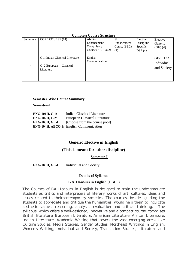| Complete Course Sur acture |                                         |                     |              |            |              |  |
|----------------------------|-----------------------------------------|---------------------|--------------|------------|--------------|--|
| Semesters                  | CORE COURSE (14)                        | Ability             | Skill        | Elective:  | Elective:    |  |
|                            |                                         | Enhancement         | Enhancement  | Discipline | Generic      |  |
|                            |                                         | Compulsory          | Course (SEC) | Specific   | (GE)(4)      |  |
|                            |                                         | Course (AECC) $(2)$ | (2)          | DSE(4)     |              |  |
|                            |                                         |                     |              |            |              |  |
|                            | C-1: Indian Classical Literature        | English             |              |            | $GE-1$ : The |  |
|                            |                                         | Communication       |              |            | Individual   |  |
|                            | Classical<br>C-2 European<br>Literature |                     |              |            |              |  |
|                            |                                         |                     |              |            | and Society  |  |
|                            |                                         |                     |              |            |              |  |
|                            |                                         |                     |              |            |              |  |
|                            |                                         |                     |              |            |              |  |

#### **Complete Course Structure**

#### **Semester Wise Course Summary:**

**Semester-I**

| <b>ENG-101H, C-1:</b>  | <b>Indian Classical Literature</b>             |
|------------------------|------------------------------------------------|
| <b>ENG-102H, C-2:</b>  | European Classical Literature                  |
| <b>ENG-103H, GE-1:</b> | (Choose from the course pool)                  |
|                        | <b>ENG-104H, AECC-1:</b> English Communication |

#### **Generic Elective in English**

#### **(This is meant for other discipline)**

**Semester-I**

**ENG-103H, GE-1**: Individual and Society

#### **Details of Syllabus**

#### **B.A. Honours in English (CBCS)**

The Courses of BA Honours in English is designed to train the undergraduate students as critics and interpreters of literary works of art, cultures, ideas and issues related to theircontemporary societies. The courses, besides guiding the students to appreciate and critique the humanities, would help them to inculcate aesthetic values, reasoning, analysis, evaluation and critical thinking. The syllabus, which offers a well-designed, innovative and a compact course, comprises British literature, European Literature, American Literature, African Literature, Indian Literature, Academic Writing that covers the vast emerging areas like Culture Studies, Media Studies, Gender Studies, Northeast Writings in English, Women's Writing, Individual and Society, Translation Studies, Literature and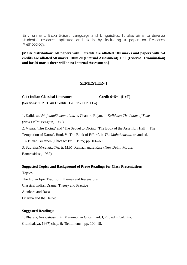Environment, Ecocriticism, Language and Linguistics. It also aims to develop students' research aptitude and skills by including a paper on Research Methodology.

**[Mark distribution: All papers with 6 credits are allotted 100 marks and papers with 2/4 credits are allotted 50 marks. 100= 20 (Internal Assessment) + 80 (External Examination) and for 50 marks there will be no Internal Assessment.]**

#### **SEMESTER- I**

**C-1: Indian Classical Literature Credit 6=5+1 (L+T)**

**(Sections: 1+2+3+4= Credits: 1½ +1½ +1½ +1½)**

1. Kalidasa:*AbhijnanaShakuntalam,* tr. Chandra Rajan, in *Kalidasa: The Loom of Time* (New Delhi: Penguin, 1989).

2. Vyasa: 'The Dicing' and 'The Sequel to Dicing, 'The Book of the Assembly Hall', 'The Temptation of Karna', Book V 'The Book of Effort', in *The Mahabharata:* tr. and ed.

J.A.B. van Buitenen (Chicago: Brill, 1975) pp. 106–69.

3. Sudraka:*Mrcchakatika*, tr. M.M. Ramachandra Kale (New Delhi: Motilal Banarasidass, 1962).

#### **Suggested Topics and Background of Prose Readings for Class Presentations**

#### **Topics**

The Indian Epic Tradition: Themes and Recensions Classical Indian Drama: Theory and Practice Alankara and Rasa Dharma and the Heroic

#### **Suggested Readings:**

1. Bharata, *Natyashastra,* tr. Manomohan Ghosh, vol. I, 2nd edn (Calcutta: Granthalaya, 1967) chap. 6: 'Sentiments', pp. 100–18.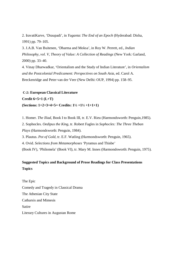2. IravatiKarve, 'Draupadi', in *Yuganta*: *The End of an Epoch* (Hyderabad: Disha, 1991) pp. 79–105.

3. J.A.B. Van Buitenen, 'Dharma and Moksa', in Roy W. Perrett, ed., *Indian Philosophy*, *vol. V*, *Theory of Value: A Collection of Readings* (New York: Garland, 2000) pp. 33–40.

4. Vinay Dharwadkar, 'Orientalism and the Study of Indian Literature', in *Orientalism and the Postcolonial Predicament: Perspectives on South Asia*, ed. Carol A. Breckenridge and Peter van der Veer (New Delhi: OUP, 1994) pp. 158–95.

#### **C-2: European Classical Literature Credit 6=5+1 (L+T) (Sections: 1+2+3+4+5= Credits: 1½ +1½ +1+1+1)**

1. Homer. *The Iliad,* Book I to Book III, tr. E.V. Rieu (Harmondsworth: Penguin,1985). 2. Sophocles. *Oedipus the King*, tr. Robert Fagles in *Sophocles: The Three Theban Plays* (Harmondsworth: Penguin, 1984). 3. Plautus. *Pot of Gold,* tr. E.F. Watling (Harmondsworth: Penguin, 1965). 4. Ovid. *Selections from Metamorphoses* 'Pyramus and Thisbe'

(Book IV), 'Philomela' (Book VI), tr. Mary M. Innes (Harmondsworth: Penguin, 1975).

#### **Suggested Topics and Background of Prose Readings for Class Presentations Topics**

The Epic Comedy and Tragedy in Classical Drama The Athenian City State Catharsis and Mimesis Satire Literary Cultures in Augustan Rome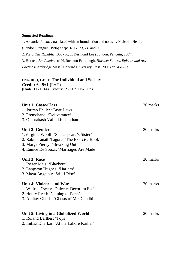#### **Suggested Readings:**

1. Aristotle, *Poetics*, translated with an introduction and notes by Malcolm Heath,

(London: Penguin, 1996) chaps. 6–17, 23, 24, and 26.

2. Plato, *The Republic,* Book X, tr. Desmond Lee (London: Penguin, 2007).

3. Horace, *Ars Poetica*, tr. H. Rushton Fairclough, *Horace: Satires, Epistles and Ars*

*Poetica* (Cambridge Mass.: Harvard University Press, 2005) pp. 451–73.

#### **ENG-103H, GE- 1: The Individual and Society Credit: 6= 5+1 (L+T) (Units: 1+2+3+4= Credits: 1½ +1½ +1½ +1½)**

| <b>Unit 1: Caste/Class</b>                  | 20 marks |
|---------------------------------------------|----------|
| 1. Jotirao Phule: 'Caste Laws'              |          |
| 2. Premchand: 'Deliverance'                 |          |
| 3. Omprakash Valmiki: 'Joothan'             |          |
| <b>Unit 2: Gender</b>                       | 20 marks |
| 1. Virginia Woolf: 'Shakespeare's Sister'   |          |
| 2. Rabindranath Tagore, 'The Exercise Book' |          |
| 3. Marge Piercy: 'Breaking Out'             |          |
| 4. Eunice De Souza: 'Marriages Are Made'    |          |
| <b>Unit 3: Race</b>                         | 20 marks |
| 1. Roger Mais: 'Blackout'                   |          |
| 2. Langston Hughes: 'Harlem'                |          |
| 3. Maya Angelou: 'Still I Rise'             |          |
| <b>Unit 4: Violence and War</b>             | 20 marks |
| 1. Wilfred Owen: 'Dulce et Decorum Est'     |          |
| 2. Henry Reed: 'Naming of Parts'            |          |
| 3. Amitav Ghosh: 'Ghosts of Mrs Gandhi'     |          |
| Unit 5: Living in a Globalized World        | 20 marks |
| 1. Roland Barthes: 'Toys'                   |          |
| 2. Imtiaz Dharkar: 'At the Lahore Karhai'   |          |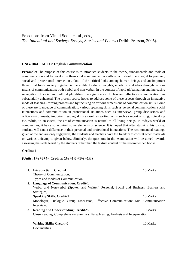Selections from Vinod Sood, et. al., eds., *The Individual and Society: Essays, Stories and Poems* (Delhi: Pearson, 2005).

#### **ENG-104H, AECC: English Communication**

**Preamble:** The purpose of this course is to introduce students to the theory, fundamentals and tools of communication and to develop in them vital communication skills which should be integral to personal, social and professional interactions. One of the critical links among human beings and an important thread that binds society together is the ability to share thoughts, emotions and ideas through various means of communication: both verbal and non-verbal. In the context of rapid globalization and increasing recognition of social and cultural pluralities, the significance of clear and effective communication has substantially enhanced. The present course hopes to address some of these aspects through an interactive mode of teaching-learning process and by focusing on various dimensions of communication skills. Some of these are: Language of communication, various speaking skills such as personal communication, social interactions and communication in professional situations such as interviews, group discussions and office environments, important reading skills as well as writing skills such as report writing, notetaking etc. While, to an extent, the art of communication is natural to all living beings, in today's world of complexities, it has also acquired some elements of science. It is hoped that after studying this course, students will find a difference in their personal and professional interactions. The recommended readings given at the end are only suggestive; the students and teachers have the freedom to consult other materials on various units/topics given below. Similarly, the questions in the examination will be aimed towards assessing the skills learnt by the students rather than the textual content of the recommended books.

#### **Credits: 4**

#### **(Units: 1+2+3+4= Credits: 1½ +1½ +1½ +1½)**

| $\mathbf{1}_{\cdot}$ | <b>Introduction: Credit-1</b>                                                          | 10 Marks |  |
|----------------------|----------------------------------------------------------------------------------------|----------|--|
|                      | Theory of Communication,                                                               |          |  |
|                      | Types and modes of Communication                                                       |          |  |
|                      | 2. Language of Communication: Credit-1                                                 |          |  |
|                      | Verbal and Non-verbal (Spoken and Written) Personal, Social and Business, Barriers and |          |  |
|                      | Strategies,                                                                            |          |  |
|                      | <b>Speaking Skills: Credit-1</b>                                                       | 10 Marks |  |
|                      | Monologue, Dialogue, Group Discussion, Effective Communication/ Mis- Communication     |          |  |
|                      | Interview,                                                                             |          |  |
|                      | 3. Reading and Understanding: Credit- $\frac{1}{2}$                                    | 10 Marks |  |
|                      | Close Reading, Comprehension Summary, Paraphrasing, Analysis and Interpretation        |          |  |
|                      |                                                                                        |          |  |
|                      | Writing Skills: Credit-1/2                                                             | 10 Marks |  |

Documenting